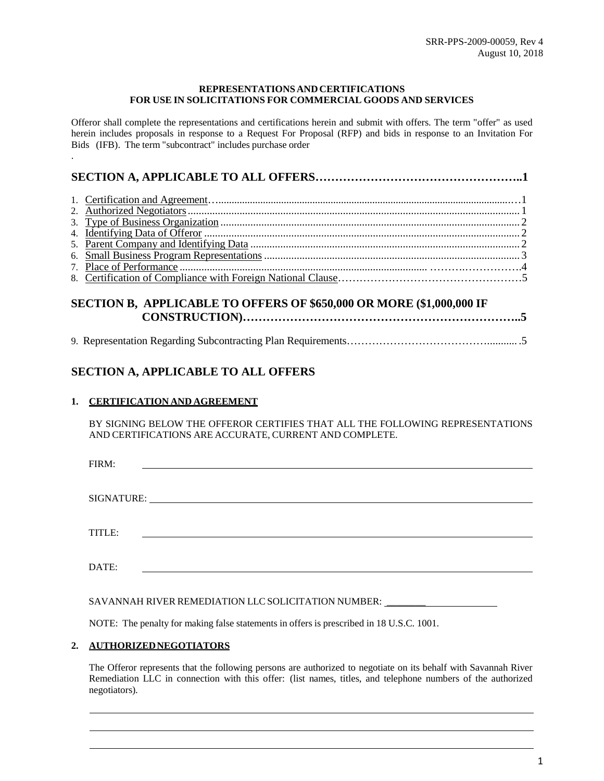#### **REPRESENTATIONSAND CERTIFICATIONS FOR USE IN SOLICITATIONS FOR COMMERCIAL GOODS AND SERVICES**

Offeror shall complete the representations and certifications herein and submit with offers. The term "offer" as used herein includes proposals in response to a Request For Proposal (RFP) and bids in response to an Invitation For Bids (IFB). The term "subcontract" includes purchase order

# <span id="page-0-0"></span>9. Representation Regarding Subcontracting Plan [Requirements…………………………………...........](#page-4-0) .5

## **SECTION A, APPLICABLE TO ALL OFFERS**

## **1. CERTIFICATION AND AGREEMENT**

.

BY SIGNING BELOW THE OFFEROR CERTIFIES THAT ALL THE FOLLOWING REPRESENTATIONS AND CERTIFICATIONS ARE ACCURATE, CURRENT AND COMPLETE.

| FIRM:  |  |  |
|--------|--|--|
|        |  |  |
|        |  |  |
|        |  |  |
| TITLE: |  |  |
|        |  |  |
| DATE:  |  |  |
|        |  |  |

SAVANNAH RIVER REMEDIATION LLC SOLICITATION NUMBER: \_\_\_\_\_\_\_\_

NOTE: The penalty for making false statements in offers is prescribed in 18 U.S.C. 1001.

## <span id="page-0-1"></span>**2. AUTHORIZEDNEGOTIATORS**

The Offeror represents that the following persons are authorized to negotiate on its behalf with Savannah River Remediation LLC in connection with this offer: (list names, titles, and telephone numbers of the authorized negotiators).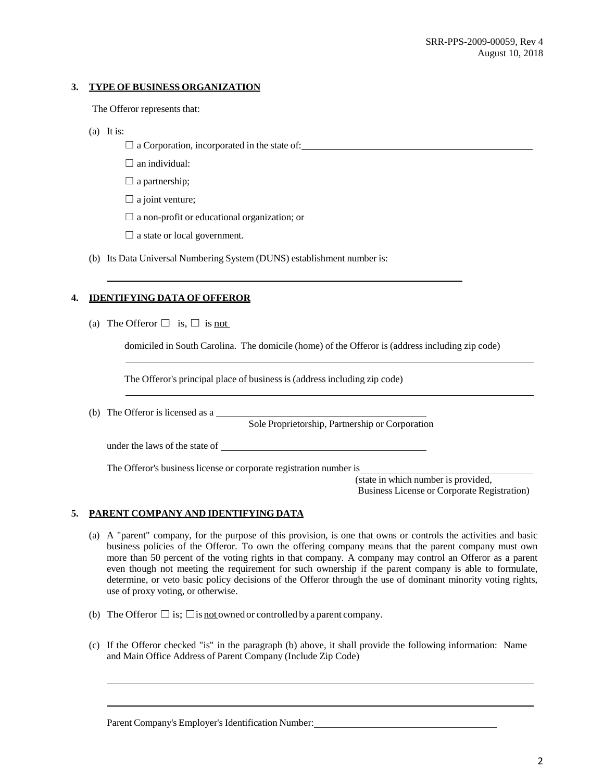#### <span id="page-1-0"></span>**3. TYPE OF BUSINESS ORGANIZATION**

The Offeror represents that:

- (a) It is:
	- $\Box$  a Corporation, incorporated in the state of:
	- $\Box$  an individual:
	- $\Box$  a partnership;
	- $\Box$  a joint venture;
	- $\Box$  a non-profit or educational organization; or
	- $\Box$  a state or local government.
- (b) Its Data Universal Numbering System (DUNS) establishment number is:

## <span id="page-1-1"></span>**4. IDENTIFYING DATA OF OFFEROR**

(a) The Offeror  $\Box$  is,  $\Box$  is not

domiciled in South Carolina. The domicile (home) of the Offeror is (address including zip code)

The Offeror's principal place of business is (address including zip code)

(b) The Offeror is licensed as a

Sole Proprietorship, Partnership or Corporation

under the laws of the state of

The Offeror's business license or corporate registration number is

(state in which number is provided, Business License or Corporate Registration)

## <span id="page-1-2"></span>**5. PARENT COMPANY AND IDENTIFYING DATA**

- (a) A "parent" company, for the purpose of this provision, is one that owns or controls the activities and basic business policies of the Offeror. To own the offering company means that the parent company must own more than 50 percent of the voting rights in that company. A company may control an Offeror as a parent even though not meeting the requirement for such ownership if the parent company is able to formulate, determine, or veto basic policy decisions of the Offeror through the use of dominant minority voting rights, use of proxy voting, or otherwise.
- (b) The Offeror  $\Box$  is;  $\Box$  is not owned or controlled by a parent company.
- (c) If the Offeror checked "is" in the paragraph (b) above, it shall provide the following information: Name and Main Office Address of Parent Company (Include Zip Code)

Parent Company's Employer's Identification Number: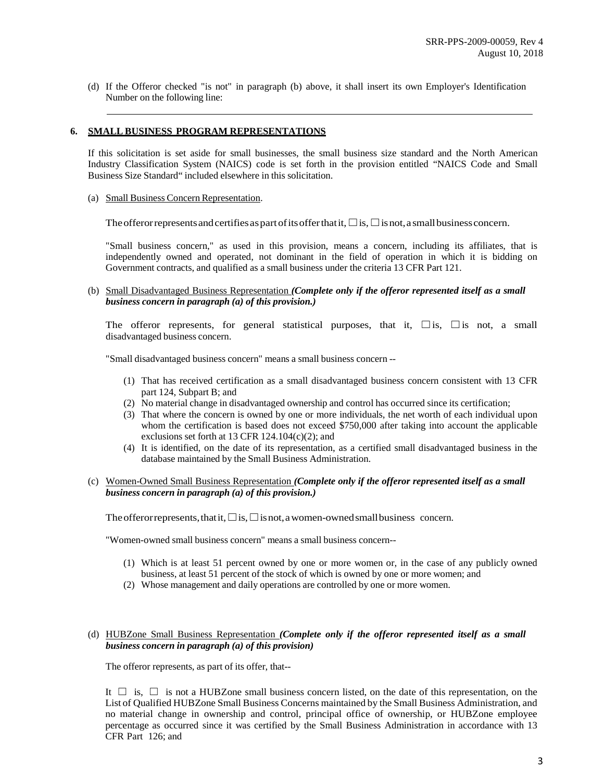(d) If the Offeror checked "is not" in paragraph (b) above, it shall insert its own Employer's Identification Number on the following line:

#### <span id="page-2-0"></span>**6. SMALL BUSINESS PROGRAM REPRESENTATIONS**

If this solicitation is set aside for small businesses, the small business size standard and the North American Industry Classification System (NAICS) code is set forth in the provision entitled "NAICS Code and Small Business Size Standard" included elsewhere in this solicitation.

(a) Small Business Concern Representation.

The offeror represents and certifies as part of its offer that it,  $\Box$  is,  $\Box$  is not, a small business concern.

"Small business concern," as used in this provision, means a concern, including its affiliates, that is independently owned and operated, not dominant in the field of operation in which it is bidding on Government contracts, and qualified as a small business under the criteria 13 CFR Part 121.

(b) Small Disadvantaged Business Representation *(Complete only if the offeror represented itself as a small business concern in paragraph (a) of this provision.)*

The offeror represents, for general statistical purposes, that it,  $\square$  is,  $\square$  is not, a small disadvantaged business concern.

"Small disadvantaged business concern" means a small business concern --

- (1) That has received certification as a small disadvantaged business concern consistent with 13 CFR part 124, Subpart B; and
- (2) No material change in disadvantaged ownership and control has occurred since its certification;
- (3) That where the concern is owned by one or more individuals, the net worth of each individual upon whom the certification is based does not exceed \$750,000 after taking into account the applicable exclusions set forth at 13 CFR  $124.104(c)(2)$ ; and
- (4) It is identified, on the date of its representation, as a certified small disadvantaged business in the database maintained by the Small Business Administration.

#### (c) Women-Owned Small Business Representation *(Complete only if the offeror represented itself as a small business concern in paragraph (a) of this provision.)*

The offeror represents, that it,  $□$  is,  $□$  is not, a women-owned small business concern.

"Women-owned small business concern" means a small business concern--

- (1) Which is at least 51 percent owned by one or more women or, in the case of any publicly owned business, at least 51 percent of the stock of which is owned by one or more women; and
- (2) Whose management and daily operations are controlled by one or more women.

#### (d) HUBZone Small Business Representation *(Complete only if the offeror represented itself as a small business concern in paragraph (a) of this provision)*

The offeror represents, as part of its offer, that--

It  $\Box$  is,  $\Box$  is not a HUBZone small business concern listed, on the date of this representation, on the List of Qualified HUBZone Small Business Concerns maintained by the Small Business Administration, and no material change in ownership and control, principal office of ownership, or HUBZone employee percentage as occurred since it was certified by the Small Business Administration in accordance with 13 CFR Part 126; and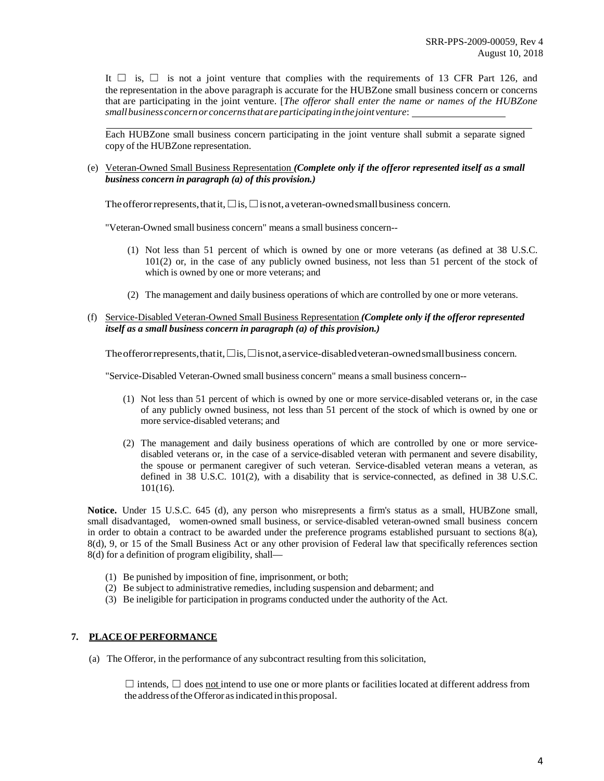It  $\Box$  is,  $\Box$  is not a joint venture that complies with the requirements of 13 CFR Part 126, and the representation in the above paragraph is accurate for the HUBZone small business concern or concerns that are participating in the joint venture. [*The offeror shall enter the name or names of the HUBZone smallbusinessconcernor concernsthatareparticipatinginthejoint venture*:

Each HUBZone small business concern participating in the joint venture shall submit a separate signed copy of the HUBZone representation.

(e) Veteran-Owned Small Business Representation *(Complete only if the offeror represented itself as a small business concern in paragraph (a) of this provision.)*

The offeror represents, that it,  $\square$  is,  $\square$  is not, a veteran-owned small business concern.

"Veteran-Owned small business concern" means a small business concern--

- (1) Not less than 51 percent of which is owned by one or more veterans (as defined at 38 U.S.C. 101(2) or, in the case of any publicly owned business, not less than 51 percent of the stock of which is owned by one or more veterans; and
- (2) The management and daily business operations of which are controlled by one or more veterans.
- (f) Service-Disabled Veteran-Owned Small Business Representation *(Complete only if the offeror represented itself as a small business concern in paragraph (a) of this provision.)*

The offeror represents, that it, □ is, □ isnot, a service-disabled veteran-owned small business concern.

"Service-Disabled Veteran-Owned small business concern" means a small business concern--

- (1) Not less than 51 percent of which is owned by one or more service-disabled veterans or, in the case of any publicly owned business, not less than 51 percent of the stock of which is owned by one or more service-disabled veterans; and
- (2) The management and daily business operations of which are controlled by one or more servicedisabled veterans or, in the case of a service-disabled veteran with permanent and severe disability, the spouse or permanent caregiver of such veteran. Service-disabled veteran means a veteran, as defined in 38 U.S.C. 101(2), with a disability that is service-connected, as defined in 38 U.S.C. 101(16).

**Notice.** Under 15 U.S.C. 645 (d), any person who misrepresents a firm's status as a small, HUBZone small, small disadvantaged, women-owned small business, or service-disabled veteran-owned small business concern in order to obtain a contract to be awarded under the preference programs established pursuant to sections  $8(a)$ , 8(d), 9, or 15 of the Small Business Act or any other provision of Federal law that specifically references section 8(d) for a definition of program eligibility, shall—

- (1) Be punished by imposition of fine, imprisonment, or both;
- (2) Be subject to administrative remedies, including suspension and debarment; and
- (3) Be ineligible for participation in programs conducted under the authority of the Act.

#### <span id="page-3-0"></span>**7. PLACE OF PERFORMANCE**

(a) The Offeror, in the performance of any subcontract resulting from this solicitation,

 $\Box$  intends,  $\Box$  does not intend to use one or more plants or facilities located at different address from the address of the Offeror as indicated in this proposal.